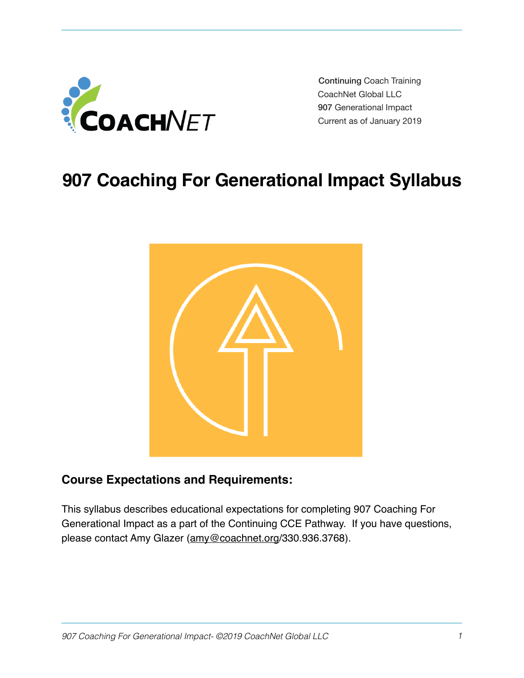

 Continuing Coach Training CoachNet Global LLC 907 Generational Impact Current as of January 2019

# **907 Coaching For Generational Impact Syllabus**



## **Course Expectations and Requirements:**

This syllabus describes educational expectations for completing 907 Coaching For Generational Impact as a part of the Continuing CCE Pathway. If you have questions, please contact Amy Glazer [\(amy@coachnet.org](mailto:amy@coachnet.org)/330.936.3768).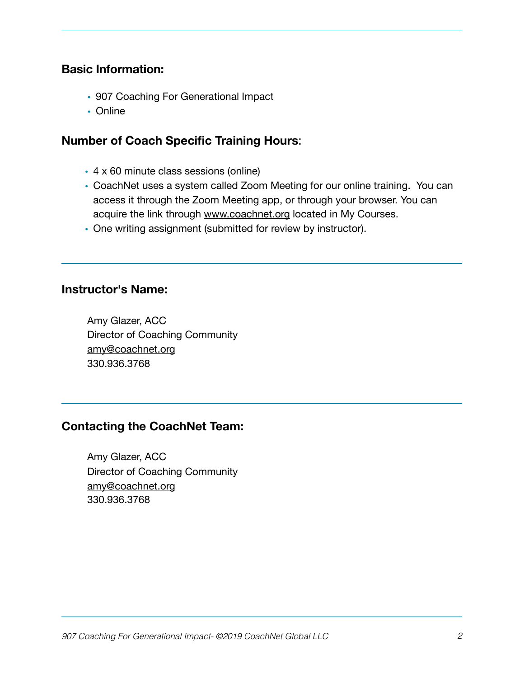#### **Basic Information:**

- 907 Coaching For Generational Impact
- Online

## **Number of Coach Specific Training Hours**:

- 4 x 60 minute class sessions (online)
- CoachNet uses a system called Zoom Meeting for our online training. You can access it through the Zoom Meeting app, or through your browser. You can acquire the link through [www.coachnet.org](http://www.coachnet.org) located in My Courses.
- One writing assignment (submitted for review by instructor).

#### **Instructor's Name:**

Amy Glazer, ACC Director of Coaching Community [amy@coachnet.org](mailto:amy@coachnet.org) 330.936.3768

## **Contacting the CoachNet Team:**

Amy Glazer, ACC Director of Coaching Community [amy@coachnet.org](mailto:amy@coachnet.org) 330.936.3768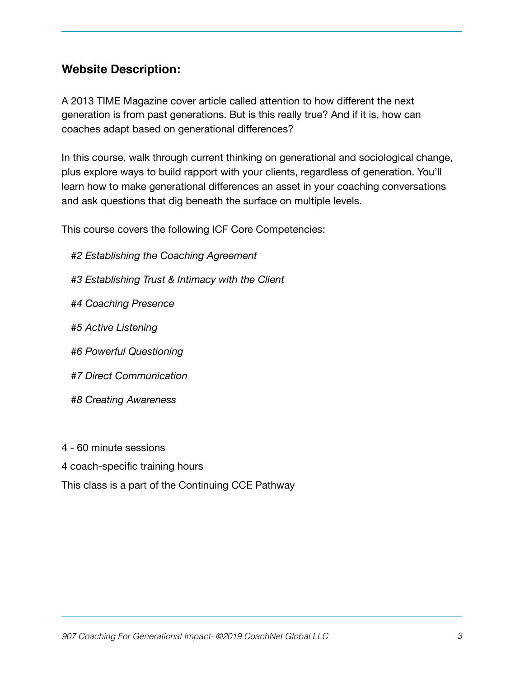## **Website Description:**

A 2013 TIME Magazine cover article called attention to how different the next generation is from past generations. But is this really true? And if it is, how can coaches adapt based on generational differences?

In this course, walk through current thinking on generational and sociological change, plus explore ways to build rapport with your clients, regardless of generation. You'll learn how to make generational differences an asset in your coaching conversations and ask questions that dig beneath the surface on multiple levels.

This course covers the following ICF Core Competencies:

- *#2 Establishing the Coaching Agreement*
- *#3 Establishing Trust & Intimacy with the Client*
- *#4 Coaching Presence*
- *#5 Active Listening*
- *#6 Powerful Questioning*
- *#7 Direct Communication*
- *#8 Creating Awareness*
- 4 60 minute sessions
- 4 coach-specific training hours
- This class is a part of the Continuing CCE Pathway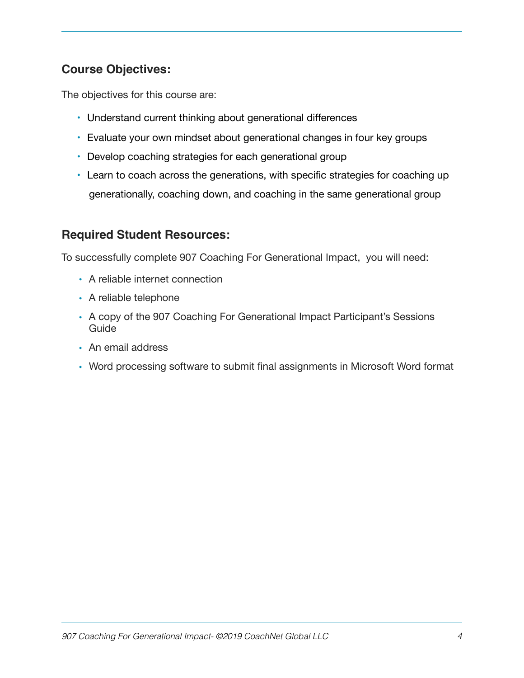# **Course Objectives:**

The objectives for this course are:

- Understand current thinking about generational differences
- Evaluate your own mindset about generational changes in four key groups
- Develop coaching strategies for each generational group
- Learn to coach across the generations, with specific strategies for coaching up generationally, coaching down, and coaching in the same generational group

## **Required Student Resources:**

To successfully complete 907 Coaching For Generational Impact, you will need:

- A reliable internet connection
- A reliable telephone
- A copy of the 907 Coaching For Generational Impact Participant's Sessions Guide
- An email address
- Word processing software to submit final assignments in Microsoft Word format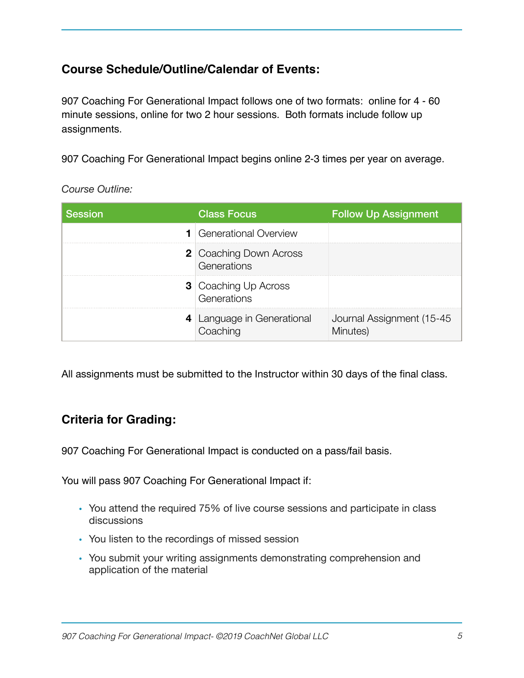# **Course Schedule/Outline/Calendar of Events:**

907 Coaching For Generational Impact follows one of two formats: online for 4 - 60 minute sessions, online for two 2 hour sessions. Both formats include follow up assignments.

907 Coaching For Generational Impact begins online 2-3 times per year on average.

| <b>Session</b> | <b>Class Focus</b>                           | <b>Follow Up Assignment</b>           |
|----------------|----------------------------------------------|---------------------------------------|
|                | <b>1</b> Generational Overview               |                                       |
|                | <b>2</b> Coaching Down Across<br>Generations |                                       |
|                | <b>3</b> Coaching Up Across<br>Generations   |                                       |
|                | 4 Language in Generational<br>Coaching       | Journal Assignment (15-45<br>Minutes) |

*Course Outline:* 

All assignments must be submitted to the Instructor within 30 days of the final class.

## **Criteria for Grading:**

907 Coaching For Generational Impact is conducted on a pass/fail basis.

You will pass 907 Coaching For Generational Impact if:

- You attend the required 75% of live course sessions and participate in class discussions
- You listen to the recordings of missed session
- You submit your writing assignments demonstrating comprehension and application of the material